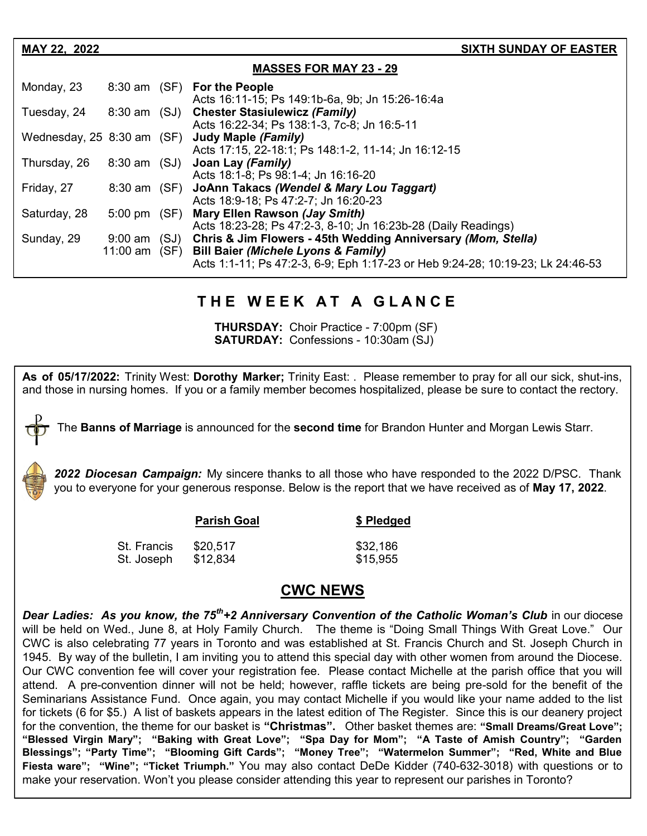| MAY 22, 2022                          |                              |      | <b>SIXTH SUNDAY OF EASTER</b>                                                                                                                                                         |  |
|---------------------------------------|------------------------------|------|---------------------------------------------------------------------------------------------------------------------------------------------------------------------------------------|--|
| <b>MASSES FOR MAY 23 - 29</b>         |                              |      |                                                                                                                                                                                       |  |
| Monday, 23                            | 8:30 am (SF)                 |      | <b>For the People</b><br>Acts 16:11-15; Ps 149:1b-6a, 9b; Jn 15:26-16:4a                                                                                                              |  |
| Tuesday, 24                           | 8:30 am (SJ)                 |      | <b>Chester Stasiulewicz (Family)</b><br>Acts 16:22-34; Ps 138:1-3, 7c-8; Jn 16:5-11                                                                                                   |  |
| Wednesday, $25\,8:30\,\text{am}$ (SF) |                              |      | Judy Maple (Family)<br>Acts 17:15, 22-18:1; Ps 148:1-2, 11-14; Jn 16:12-15                                                                                                            |  |
| Thursday, 26                          | 8:30 am (SJ)                 |      | Joan Lay (Family)<br>Acts 18:1-8; Ps 98:1-4; Jn 16:16-20                                                                                                                              |  |
| Friday, 27                            | 8:30 am (SF)                 |      | JoAnn Takacs (Wendel & Mary Lou Taggart)<br>Acts 18:9-18; Ps 47:2-7; Jn 16:20-23                                                                                                      |  |
| Saturday, 28                          | $5:00 \text{ pm}$ (SF)       |      | Mary Ellen Rawson (Jay Smith)<br>Acts 18:23-28; Ps 47:2-3, 8-10; Jn 16:23b-28 (Daily Readings)                                                                                        |  |
| Sunday, 29                            | $9:00$ am<br>11:00 am $(SF)$ | (SJ) | Chris & Jim Flowers - 45th Wedding Anniversary (Mom. Stella)<br>Bill Baier (Michele Lyons & Family)<br>Acts 1:1-11; Ps 47:2-3, 6-9; Eph 1:17-23 or Heb 9:24-28; 10:19-23; Lk 24:46-53 |  |

# **T H E W E E K A T A G L A N C E**

**THURSDAY:** Choir Practice - 7:00pm (SF) **SATURDAY: Confessions - 10:30am (SJ)** 

**As of 05/17/2022:** Trinity West: **Dorothy Marker;** Trinity East: . Please remember to pray for all our sick, shut-ins, and those in nursing homes. If you or a family member becomes hospitalized, please be sure to contact the rectory.

The **Banns of Marriage** is announced for the **second time** for Brandon Hunter and Morgan Lewis Starr.

*2022 Diocesan Campaign:* My sincere thanks to all those who have responded to the 2022 D/PSC. Thank you to everyone for your generous response. Below is the report that we have received as of **May 17, 2022**.

|             | <b>Parish Goal</b> | \$ Pledged |
|-------------|--------------------|------------|
| St. Francis | \$20.517           | \$32,186   |
| St. Joseph  | \$12,834           | \$15,955   |

### **CWC NEWS**

**Dear Ladies: As you know, the 75<sup>th</sup>+2 Anniversary Convention of the Catholic Woman's Club** in our diocese will be held on Wed., June 8, at Holy Family Church. The theme is "Doing Small Things With Great Love." Our CWC is also celebrating 77 years in Toronto and was established at St. Francis Church and St. Joseph Church in 1945. By way of the bulletin, I am inviting you to attend this special day with other women from around the Diocese. Our CWC convention fee will cover your registration fee. Please contact Michelle at the parish office that you will attend. A pre-convention dinner will not be held; however, raffle tickets are being pre-sold for the benefit of the Seminarians Assistance Fund. Once again, you may contact Michelle if you would like your name added to the list for tickets (6 for \$5.) A list of baskets appears in the latest edition of The Register. Since this is our deanery project for the convention, the theme for our basket is **"Christmas".** Other basket themes are: **"Small Dreams/Great Love"; "Blessed Virgin Mary"; "Baking with Great Love"; "Spa Day for Mom"; "A Taste of Amish Country"; "Garden Blessings"; "Party Time"; "Blooming Gift Cards"; "Money Tree"; "Watermelon Summer"; "Red, White and Blue Fiesta ware"; "Wine"; "Ticket Triumph."** You may also contact DeDe Kidder (740-632-3018) with questions or to make your reservation. Won't you please consider attending this year to represent our parishes in Toronto?